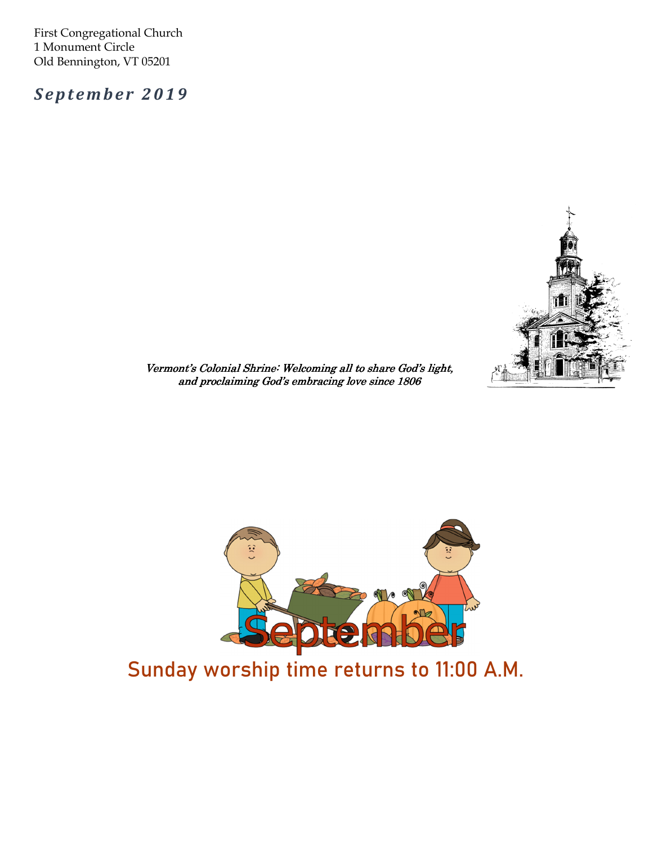First Congregational Church 1 Monument Circle Old Bennington, VT 05201

September 2019



Vermont's Colonial Shrine: Welcoming all to share God's light, and proclaiming God's embracing love since 1806



## Sunday worship time returns to 11:00 A.M.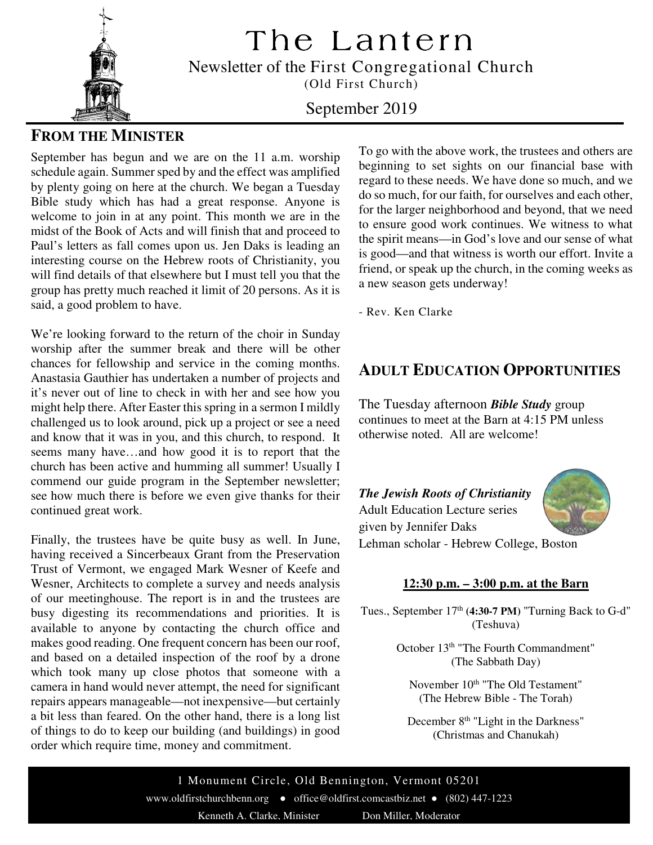

The Lantern

Newsletter of the First Congregational Church

(Old First Church)

#### September 2019

#### **FROM THE MINISTER**

September has begun and we are on the 11 a.m. worship schedule again. Summer sped by and the effect was amplified by plenty going on here at the church. We began a Tuesday Bible study which has had a great response. Anyone is welcome to join in at any point. This month we are in the midst of the Book of Acts and will finish that and proceed to Paul's letters as fall comes upon us. Jen Daks is leading an interesting course on the Hebrew roots of Christianity, you will find details of that elsewhere but I must tell you that the group has pretty much reached it limit of 20 persons. As it is said, a good problem to have.

We're looking forward to the return of the choir in Sunday worship after the summer break and there will be other chances for fellowship and service in the coming months. Anastasia Gauthier has undertaken a number of projects and it's never out of line to check in with her and see how you might help there. After Easter this spring in a sermon I mildly challenged us to look around, pick up a project or see a need and know that it was in you, and this church, to respond. It seems many have…and how good it is to report that the church has been active and humming all summer! Usually I commend our guide program in the September newsletter; see how much there is before we even give thanks for their continued great work.

Finally, the trustees have be quite busy as well. In June, having received a Sincerbeaux Grant from the Preservation Trust of Vermont, we engaged Mark Wesner of Keefe and Wesner, Architects to complete a survey and needs analysis of our meetinghouse. The report is in and the trustees are busy digesting its recommendations and priorities. It is available to anyone by contacting the church office and makes good reading. One frequent concern has been our roof, and based on a detailed inspection of the roof by a drone which took many up close photos that someone with a camera in hand would never attempt, the need for significant repairs appears manageable—not inexpensive—but certainly a bit less than feared. On the other hand, there is a long list of things to do to keep our building (and buildings) in good order which require time, money and commitment.

To go with the above work, the trustees and others are beginning to set sights on our financial base with regard to these needs. We have done so much, and we do so much, for our faith, for ourselves and each other, for the larger neighborhood and beyond, that we need to ensure good work continues. We witness to what the spirit means—in God's love and our sense of what is good—and that witness is worth our effort. Invite a friend, or speak up the church, in the coming weeks as a new season gets underway!

- Rev. Ken Clarke

#### **ADULT EDUCATION OPPORTUNITIES**

The Tuesday afternoon *Bible Study* group continues to meet at the Barn at 4:15 PM unless otherwise noted. All are welcome!

*The Jewish Roots of Christianity*  Adult Education Lecture series given by Jennifer Daks Lehman scholar - Hebrew College, Boston

#### **12:30 p.m. – 3:00 p.m. at the Barn**

Tues., September 17<sup>th</sup> (4:30-7 PM) "Turning Back to G-d" (Teshuva)

> October 13<sup>th</sup> "The Fourth Commandment" (The Sabbath Day)

November 10<sup>th</sup> "The Old Testament" (The Hebrew Bible - The Torah)

December 8<sup>th</sup> "Light in the Darkness" (Christmas and Chanukah)

1 Monument Circle, Old Bennington, Vermont 05201 www.oldfirstchurchbenn.org ● office@oldfirst.comcastbiz.net ● (802) 447-1223 Kenneth A. Clarke, Minister Don Miller, Moderator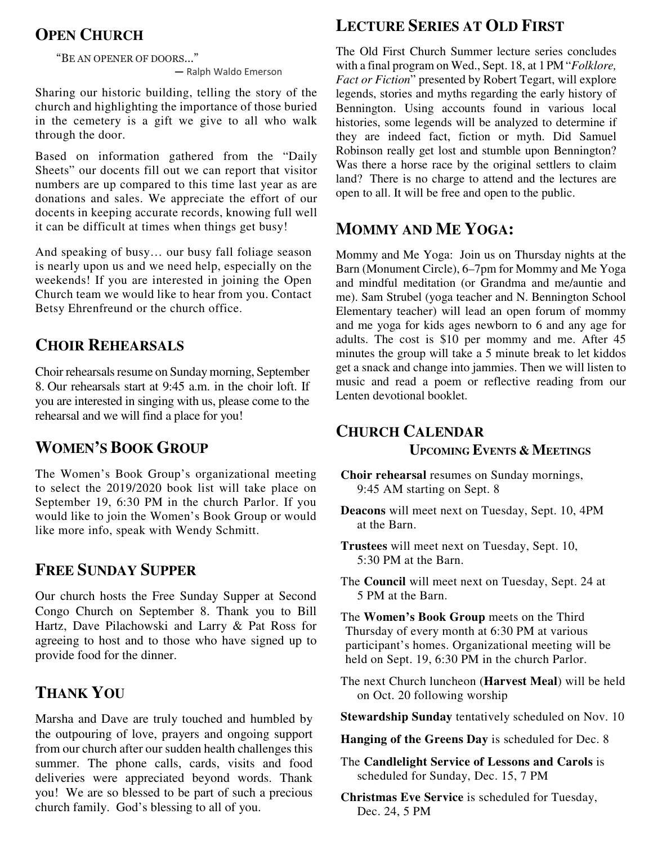### **OPEN CHURCH**

"BE AN OPENER OF DOORS…"

― Ralph Waldo Emerson

Sharing our historic building, telling the story of the church and highlighting the importance of those buried in the cemetery is a gift we give to all who walk through the door.

Based on information gathered from the "Daily Sheets" our docents fill out we can report that visitor numbers are up compared to this time last year as are donations and sales. We appreciate the effort of our docents in keeping accurate records, knowing full well it can be difficult at times when things get busy!

And speaking of busy… our busy fall foliage season is nearly upon us and we need help, especially on the weekends! If you are interested in joining the Open Church team we would like to hear from you. Contact Betsy Ehrenfreund or the church office.

### **CHOIR REHEARSALS**

Choir rehearsals resume on Sunday morning, September 8. Our rehearsals start at 9:45 a.m. in the choir loft. If you are interested in singing with us, please come to the rehearsal and we will find a place for you!

#### **WOMEN'S BOOK GROUP**

September 19, 6:30 PM in the church Parlor. If you would like to join the Women's Book Group or would The Women's Book Group's organizational meeting to select the 2019/2020 book list will take place on like more info, speak with Wendy Schmitt.

#### **FREE SUNDAY SUPPER**

Our church hosts the Free Sunday Supper at Second Congo Church on September 8. Thank you to Bill Hartz, Dave Pilachowski and Larry & Pat Ross for agreeing to host and to those who have signed up to provide food for the dinner.

### **THANK YOU**

Marsha and Dave are truly touched and humbled by the outpouring of love, prayers and ongoing support from our church after our sudden health challenges this summer. The phone calls, cards, visits and food deliveries were appreciated beyond words. Thank you! We are so blessed to be part of such a precious church family. God's blessing to all of you.

### **LECTURE SERIES AT OLD FIRST**

The Old First Church Summer lecture series concludes with a final program on Wed., Sept. 18, at 1 PM "*Folklore, Fact or Fiction*" presented by Robert Tegart, will explore legends, stories and myths regarding the early history of Bennington. Using accounts found in various local histories, some legends will be analyzed to determine if they are indeed fact, fiction or myth. Did Samuel Robinson really get lost and stumble upon Bennington? Was there a horse race by the original settlers to claim land? There is no charge to attend and the lectures are open to all. It will be free and open to the public.

### **MOMMY AND ME YOGA:**

Mommy and Me Yoga: Join us on Thursday nights at the Barn (Monument Circle), 6–7pm for Mommy and Me Yoga and mindful meditation (or Grandma and me/auntie and me). Sam Strubel (yoga teacher and N. Bennington School Elementary teacher) will lead an open forum of mommy and me yoga for kids ages newborn to 6 and any age for adults. The cost is \$10 per mommy and me. After 45 minutes the group will take a 5 minute break to let kiddos get a snack and change into jammies. Then we will listen to music and read a poem or reflective reading from our Lenten devotional booklet.

### **CHURCH CALENDAR UPCOMING EVENTS & MEETINGS**

- **Choir rehearsal** resumes on Sunday mornings, 9:45 AM starting on Sept. 8
- **Deacons** will meet next on Tuesday, Sept. 10, 4PM at the Barn.
- **Trustees** will meet next on Tuesday, Sept. 10, 5:30 PM at the Barn.
- The **Council** will meet next on Tuesday, Sept. 24 at 5 PM at the Barn.
- The **Women's Book Group** meets on the Third Thursday of every month at 6:30 PM at various participant's homes. Organizational meeting will be held on Sept. 19, 6:30 PM in the church Parlor.
- The next Church luncheon (**Harvest Meal**) will be held on Oct. 20 following worship
- **Stewardship Sunday** tentatively scheduled on Nov. 10
- **Hanging of the Greens Day** is scheduled for Dec. 8
- The **Candlelight Service of Lessons and Carols** is scheduled for Sunday, Dec. 15, 7 PM
- **Christmas Eve Service** is scheduled for Tuesday, Dec. 24, 5 PM